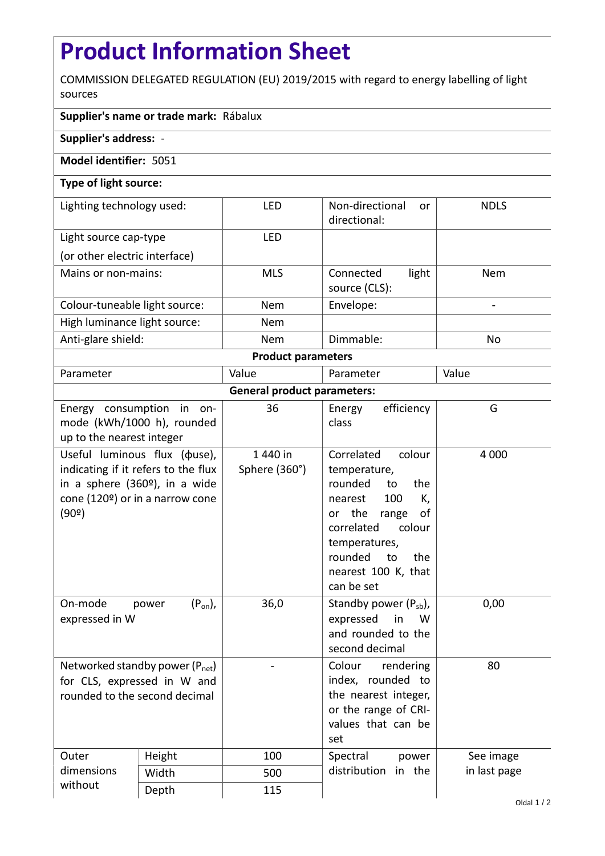## **Product Information Sheet**

COMMISSION DELEGATED REGULATION (EU) 2019/2015 with regard to energy labelling of light sources

## **Supplier's name or trade mark:** Rábalux

**Supplier's address:** -

## **Model identifier:** 5051

## **Type of light source:**

| Lighting technology used:     | LFD        | Non-directional<br><sub>or</sub><br>directional: | <b>NDLS</b> |  |  |  |
|-------------------------------|------------|--------------------------------------------------|-------------|--|--|--|
| Light source cap-type         | LFD        |                                                  |             |  |  |  |
| (or other electric interface) |            |                                                  |             |  |  |  |
| Mains or non-mains:           | <b>MLS</b> | light<br>Connected<br>source (CLS):              | <b>Nem</b>  |  |  |  |
| Colour-tuneable light source: | <b>Nem</b> | Envelope:                                        |             |  |  |  |
| High luminance light source:  | <b>Nem</b> |                                                  |             |  |  |  |
| Anti-glare shield:            | <b>Nem</b> | Dimmable:                                        | <b>No</b>   |  |  |  |
| <b>Product parameters</b>     |            |                                                  |             |  |  |  |

| Parameter                          |                                                                                                                                                             | Value                     | Parameter                                                                                                                                                                                                           | Value        |  |  |
|------------------------------------|-------------------------------------------------------------------------------------------------------------------------------------------------------------|---------------------------|---------------------------------------------------------------------------------------------------------------------------------------------------------------------------------------------------------------------|--------------|--|--|
| <b>General product parameters:</b> |                                                                                                                                                             |                           |                                                                                                                                                                                                                     |              |  |  |
| up to the nearest integer          | Energy consumption in on-<br>mode (kWh/1000 h), rounded                                                                                                     | 36                        | efficiency<br>Energy<br>class                                                                                                                                                                                       | G            |  |  |
| (90°)                              | Useful luminous flux ( $\phi$ use),<br>indicating if it refers to the flux<br>in a sphere (360 <sup>o</sup> ), in a wide<br>cone (120º) or in a narrow cone | 1 440 in<br>Sphere (360°) | Correlated<br>colour<br>temperature,<br>rounded<br>to<br>the<br>100<br>K,<br>nearest<br>or the<br>range<br>οf<br>correlated<br>colour<br>temperatures,<br>rounded<br>to<br>the<br>nearest 100 K, that<br>can be set | 4 0 0 0      |  |  |
| On-mode<br>expressed in W          | $(P_{on})$ ,<br>power                                                                                                                                       | 36,0                      | Standby power $(P_{sb})$ ,<br>expressed<br>in<br>W<br>and rounded to the<br>second decimal                                                                                                                          | 0,00         |  |  |
| rounded to the second decimal      | Networked standby power (P <sub>net</sub> )<br>for CLS, expressed in W and                                                                                  |                           | Colour<br>rendering<br>index, rounded to<br>the nearest integer,<br>or the range of CRI-<br>values that can be<br>set                                                                                               | 80           |  |  |
| Outer<br>dimensions                | Height                                                                                                                                                      | 100                       | Spectral<br>power                                                                                                                                                                                                   | See image    |  |  |
|                                    | Width                                                                                                                                                       | 500                       | distribution in the                                                                                                                                                                                                 | in last page |  |  |
| without                            | Depth                                                                                                                                                       | 115                       |                                                                                                                                                                                                                     |              |  |  |